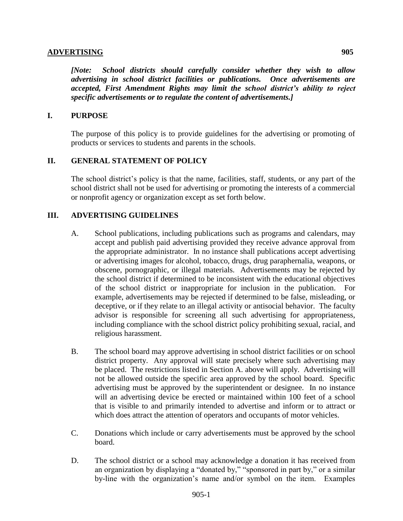## **ADVERTISING 905**

*[Note: School districts should carefully consider whether they wish to allow advertising in school district facilities or publications. Once advertisements are accepted, First Amendment Rights may limit the school district's ability to reject specific advertisements or to regulate the content of advertisements.]*

## **I. PURPOSE**

The purpose of this policy is to provide guidelines for the advertising or promoting of products or services to students and parents in the schools.

## **II. GENERAL STATEMENT OF POLICY**

The school district's policy is that the name, facilities, staff, students, or any part of the school district shall not be used for advertising or promoting the interests of a commercial or nonprofit agency or organization except as set forth below.

## **III. ADVERTISING GUIDELINES**

- A. School publications, including publications such as programs and calendars, may accept and publish paid advertising provided they receive advance approval from the appropriate administrator. In no instance shall publications accept advertising or advertising images for alcohol, tobacco, drugs, drug paraphernalia, weapons, or obscene, pornographic, or illegal materials. Advertisements may be rejected by the school district if determined to be inconsistent with the educational objectives of the school district or inappropriate for inclusion in the publication. For example, advertisements may be rejected if determined to be false, misleading, or deceptive, or if they relate to an illegal activity or antisocial behavior. The faculty advisor is responsible for screening all such advertising for appropriateness, including compliance with the school district policy prohibiting sexual, racial, and religious harassment.
- B. The school board may approve advertising in school district facilities or on school district property. Any approval will state precisely where such advertising may be placed. The restrictions listed in Section A. above will apply. Advertising will not be allowed outside the specific area approved by the school board. Specific advertising must be approved by the superintendent or designee. In no instance will an advertising device be erected or maintained within 100 feet of a school that is visible to and primarily intended to advertise and inform or to attract or which does attract the attention of operators and occupants of motor vehicles.
- C. Donations which include or carry advertisements must be approved by the school board.
- D. The school district or a school may acknowledge a donation it has received from an organization by displaying a "donated by," "sponsored in part by," or a similar by-line with the organization's name and/or symbol on the item. Examples